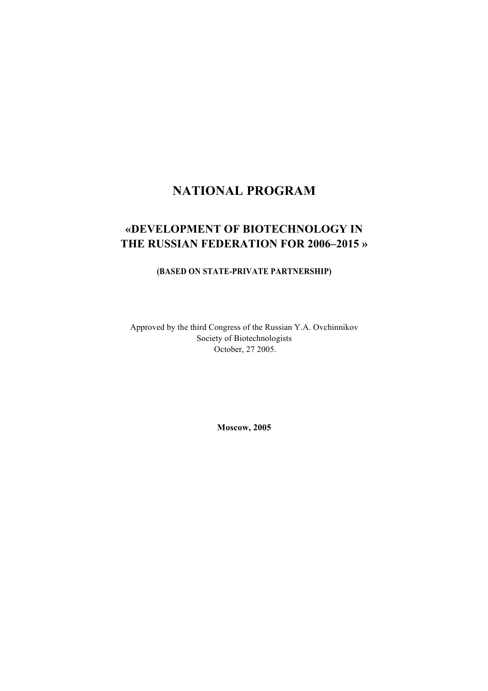# **NATIONAL PROGRAM**

# **«DEVELOPMENT OF BIOTECHNOLOGY IN THE RUSSIAN FEDERATION FOR 2006–2015 »**

### **(BASED ON STATE-PRIVATE PARTNERSHIP)**

Approved by the third Congress of the Russian Y.A. Ovchinnikov Society of Biotechnologists October, 27 2005.

**Moscow, 2005**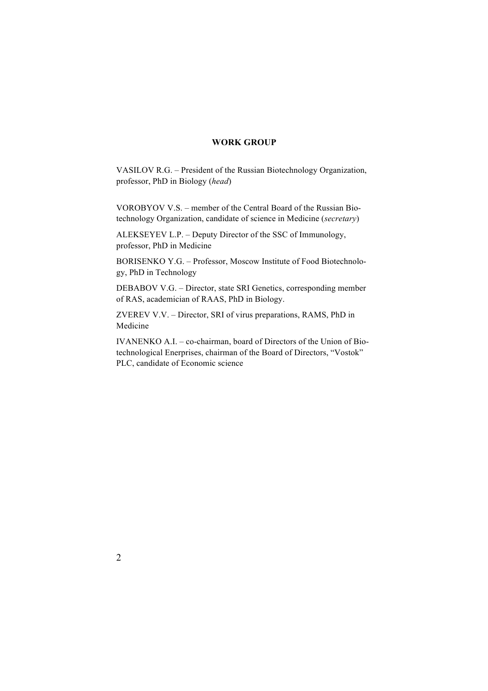### **WORK GROUP**

VASILOV R.G. – President of the Russian Biotechnology Organization, professor, PhD in Biology (*head*)

VOROBYOV V.S. – member of the Central Board of the Russian Biotechnology Organization, candidate of science in Medicine (*secretary*)

ALEKSEYEV L.P. – Deputy Director of the SSC of Immunology, professor, PhD in Medicine

BORISENKO Y.G. – Professor, Moscow Institute of Food Biotechnology, PhD in Technology

DEBABOV V.G. – Director, state SRI Genetics, corresponding member of RAS, academician of RAAS, PhD in Biology.

ZVEREV V.V. – Director, SRI of virus preparations, RAMS, PhD in Medicine

IVANENKO A.I. – co-chairman, board of Directors of the Union of Biotechnological Enerprises, chairman of the Board of Directors, "Vostok" PLC, candidate of Economic science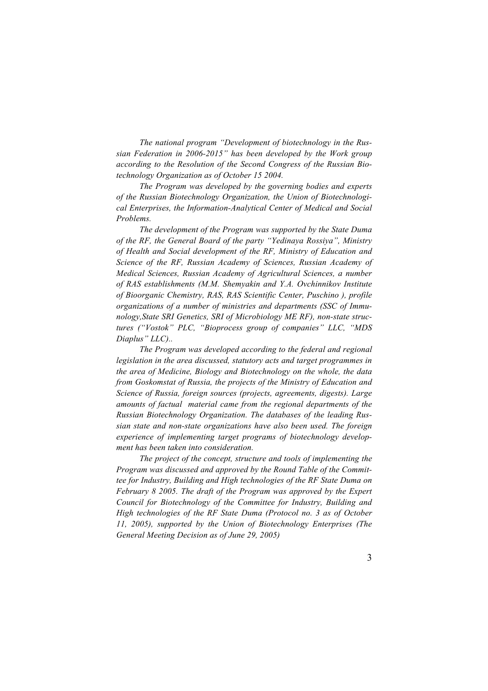*The national program "Development of biotechnology in the Russian Federation in 2006-2015" has been developed by the Work group according to the Resolution of the Second Congress of the Russian Biotechnology Organization as of October 15 2004.* 

*The Program was developed by the governing bodies and experts of the Russian Biotechnology Organization, the Union of Biotechnological Enterprises, the Information-Analytical Center of Medical and Social Problems.* 

*The development of the Program was supported by the State Duma of the RF, the General Board of the party "Yedinaya Rossiya", Ministry of Health and Social development of the RF, Ministry of Education and Science of the RF, Russian Academy of Sciences, Russian Academy of Medical Sciences, Russian Academy of Agricultural Sciences, a number of RAS establishments (M.M. Shemyakin and Y.A. Ovchinnikov Institute of Bioorganic Chemistry, RAS, RAS Scientific Center, Puschino ), profile organizations of a number of ministries and departments (SSC of Immunology,State SRI Genetics, SRI of Microbiology ME RF), non-state structures ("Vostok" PLC, "Bioprocess group of companies" LLC, "MDS Diaplus" LLC)..*

*The Program was developed according to the federal and regional legislation in the area discussed, statutory acts and target programmes in the area of Medicine, Biology and Biotechnology on the whole, the data from Goskomstat of Russia, the projects of the Ministry of Education and Science of Russia, foreign sources (projects, agreements, digests). Large amounts of factual material came from the regional departments of the Russian Biotechnology Organization. The databases of the leading Russian state and non-state organizations have also been used. The foreign experience of implementing target programs of biotechnology development has been taken into consideration.* 

*The project of the concept, structure and tools of implementing the Program was discussed and approved by the Round Table of the Committee for Industry, Building and High technologies of the RF State Duma on February 8 2005. The draft of the Program was approved by the Expert Council for Biotechnology of the Committee for Industry, Building and High technologies of the RF State Duma (Protocol no. 3 as of October 11, 2005), supported by the Union of Biotechnology Enterprises (The General Meeting Decision as of June 29, 2005)*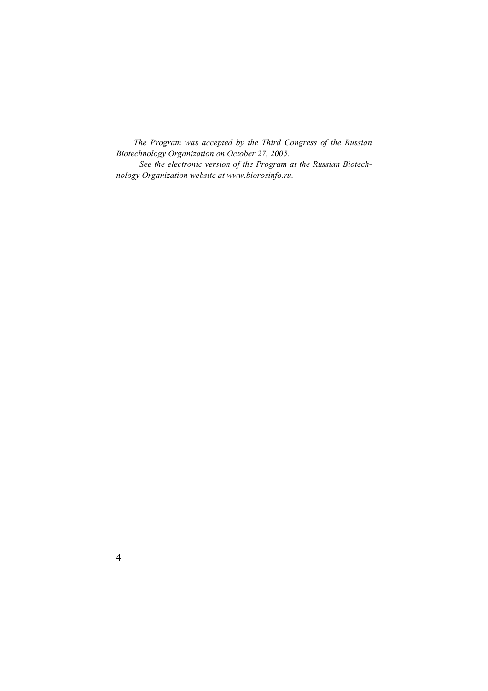*The Program was accepted by the Third Congress of the Russian Biotechnology Organization on October 27, 2005.* 

*See the electronic version of the Program at the Russian Biotechnology Organization website at www.biorosinfo.ru.*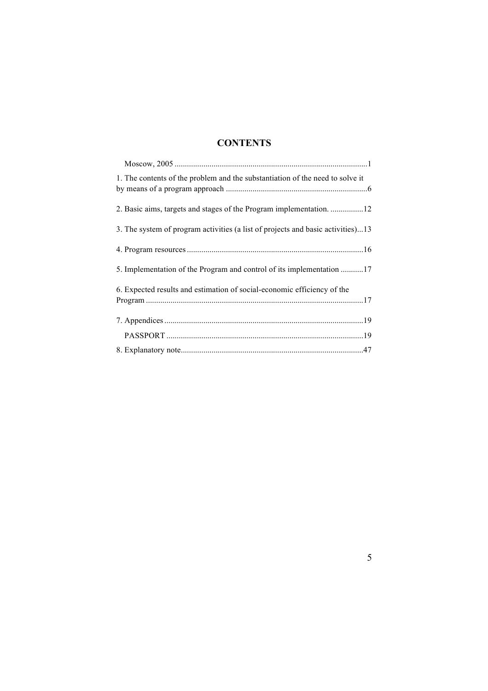# **CONTENTS**

| 1. The contents of the problem and the substantiation of the need to solve it   |
|---------------------------------------------------------------------------------|
| 2. Basic aims, targets and stages of the Program implementation. 12             |
| 3. The system of program activities (a list of projects and basic activities)13 |
|                                                                                 |
| 5. Implementation of the Program and control of its implementation 17           |
| 6. Expected results and estimation of social-economic efficiency of the         |
|                                                                                 |
|                                                                                 |
|                                                                                 |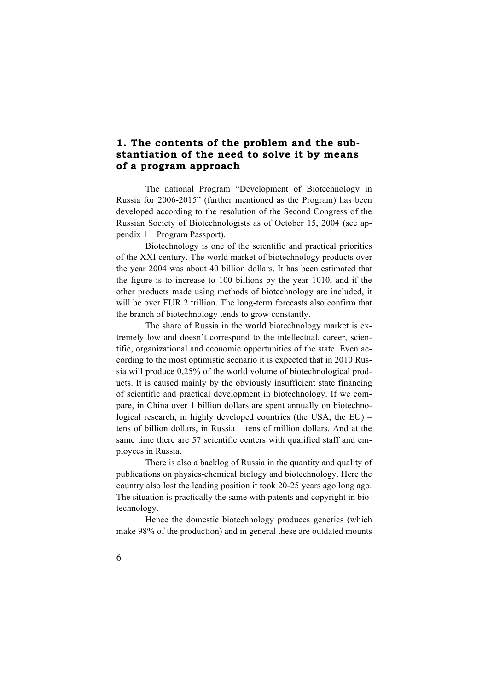## **1. The contents of the problem and the substantiation of the need to solve it by means of a program approach**

The national Program "Development of Biotechnology in Russia for 2006-2015" (further mentioned as the Program) has been developed according to the resolution of the Second Congress of the Russian Society of Biotechnologists as of October 15, 2004 (see appendix 1 – Program Passport).

Biotechnology is one of the scientific and practical priorities of the XXI century. The world market of biotechnology products over the year 2004 was about 40 billion dollars. It has been estimated that the figure is to increase to 100 billions by the year 1010, and if the other products made using methods of biotechnology are included, it will be over EUR 2 trillion. The long-term forecasts also confirm that the branch of biotechnology tends to grow constantly.

The share of Russia in the world biotechnology market is extremely low and doesn't correspond to the intellectual, career, scientific, organizational and economic opportunities of the state. Even according to the most optimistic scenario it is expected that in 2010 Russia will produce 0,25% of the world volume of biotechnological products. It is caused mainly by the obviously insufficient state financing of scientific and practical development in biotechnology. If we compare, in China over 1 billion dollars are spent annually on biotechnological research, in highly developed countries (the USA, the EU) – tens of billion dollars, in Russia – tens of million dollars. And at the same time there are 57 scientific centers with qualified staff and employees in Russia.

There is also a backlog of Russia in the quantity and quality of publications on physics-chemical biology and biotechnology. Here the country also lost the leading position it took 20-25 years ago long ago. The situation is practically the same with patents and copyright in biotechnology.

Hence the domestic biotechnology produces generics (which make 98% of the production) and in general these are outdated mounts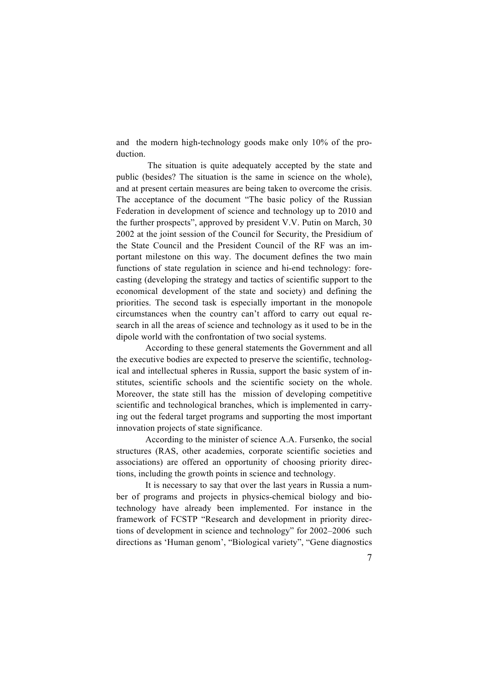and the modern high-technology goods make only 10% of the production.

The situation is quite adequately accepted by the state and public (besides? The situation is the same in science on the whole), and at present certain measures are being taken to overcome the crisis. The acceptance of the document "The basic policy of the Russian Federation in development of science and technology up to 2010 and the further prospects", approved by president V.V. Putin on March, 30 2002 at the joint session of the Council for Security, the Presidium of the State Council and the President Council of the RF was an important milestone on this way. The document defines the two main functions of state regulation in science and hi-end technology: forecasting (developing the strategy and tactics of scientific support to the economical development of the state and society) and defining the priorities. The second task is especially important in the monopole circumstances when the country can't afford to carry out equal research in all the areas of science and technology as it used to be in the dipole world with the confrontation of two social systems.

According to these general statements the Government and all the executive bodies are expected to preserve the scientific, technological and intellectual spheres in Russia, support the basic system of institutes, scientific schools and the scientific society on the whole. Moreover, the state still has the mission of developing competitive scientific and technological branches, which is implemented in carrying out the federal target programs and supporting the most important innovation projects of state significance.

According to the minister of science A.A. Fursenko, the social structures (RAS, other academies, corporate scientific societies and associations) are offered an opportunity of choosing priority directions, including the growth points in science and technology.

It is necessary to say that over the last years in Russia a number of programs and projects in physics-chemical biology and biotechnology have already been implemented. For instance in the framework of FCSTP "Research and development in priority directions of development in science and technology" for 2002–2006 such directions as 'Human genom', "Biological variety", "Gene diagnostics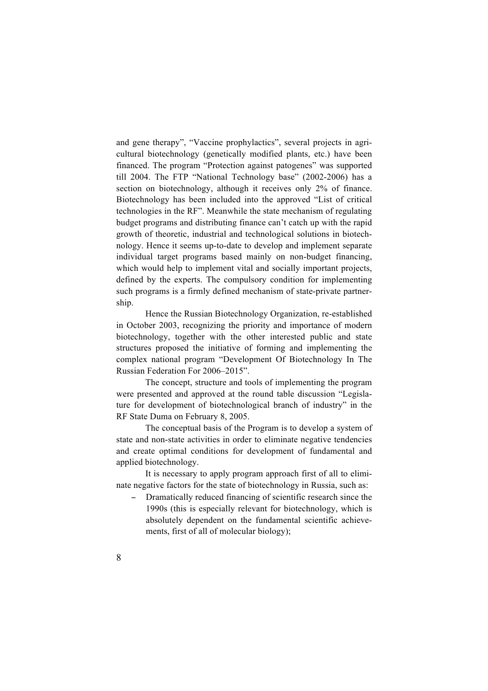and gene therapy", "Vaccine prophylactics", several projects in agricultural biotechnology (genetically modified plants, etc.) have been financed. The program "Protection against patogenes" was supported till 2004. The FTP "National Technology base" (2002-2006) has a section on biotechnology, although it receives only 2% of finance. Biotechnology has been included into the approved "List of critical technologies in the RF". Meanwhile the state mechanism of regulating budget programs and distributing finance can't catch up with the rapid growth of theoretic, industrial and technological solutions in biotechnology. Hence it seems up-to-date to develop and implement separate individual target programs based mainly on non-budget financing, which would help to implement vital and socially important projects, defined by the experts. The compulsory condition for implementing such programs is a firmly defined mechanism of state-private partnership.

Hence the Russian Biotechnology Organization, re-established in October 2003, recognizing the priority and importance of modern biotechnology, together with the other interested public and state structures proposed the initiative of forming and implementing the complex national program "Development Of Biotechnology In The Russian Federation For 2006–2015".

The concept, structure and tools of implementing the program were presented and approved at the round table discussion "Legislature for development of biotechnological branch of industry" in the RF State Duma on February 8, 2005.

The conceptual basis of the Program is to develop a system of state and non-state activities in order to eliminate negative tendencies and create optimal conditions for development of fundamental and applied biotechnology.

It is necessary to apply program approach first of all to eliminate negative factors for the state of biotechnology in Russia, such as:

Dramatically reduced financing of scientific research since the 1990s (this is especially relevant for biotechnology, which is absolutely dependent on the fundamental scientific achievements, first of all of molecular biology);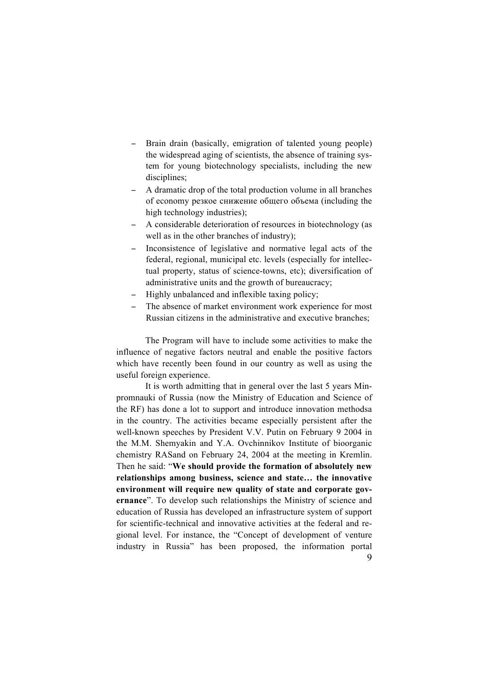- Brain drain (basically, emigration of talented young people) the widespread aging of scientists, the absence of training system for young biotechnology specialists, including the new disciplines;
- − A dramatic drop of the total production volume in all branches of economy резкое снижение общего объема (including the high technology industries);
- A considerable deterioration of resources in biotechnology (as well as in the other branches of industry);
- Inconsistence of legislative and normative legal acts of the federal, regional, municipal etc. levels (especially for intellectual property, status of science-towns, etc); diversification of administrative units and the growth of bureaucracy;
- Highly unbalanced and inflexible taxing policy;
- The absence of market environment work experience for most Russian citizens in the administrative and executive branches;

The Program will have to include some activities to make the influence of negative factors neutral and enable the positive factors which have recently been found in our country as well as using the useful foreign experience.

9 It is worth admitting that in general over the last 5 years Minpromnauki of Russia (now the Ministry of Education and Science of the RF) has done a lot to support and introduce innovation methodsa in the country. The activities became especially persistent after the well-known speeches by President V.V. Putin on February 9 2004 in the M.M. Shemyakin and Y.A. Ovchinnikov Institute of bioorganic chemistry RASand on February 24, 2004 at the meeting in Kremlin. Then he said: "**We should provide the formation of absolutely new relationships among business, science and state… the innovative environment will require new quality of state and corporate governance**". To develop such relationships the Ministry of science and education of Russia has developed an infrastructure system of support for scientific-technical and innovative activities at the federal and regional level. For instance, the "Concept of development of venture industry in Russia" has been proposed, the information portal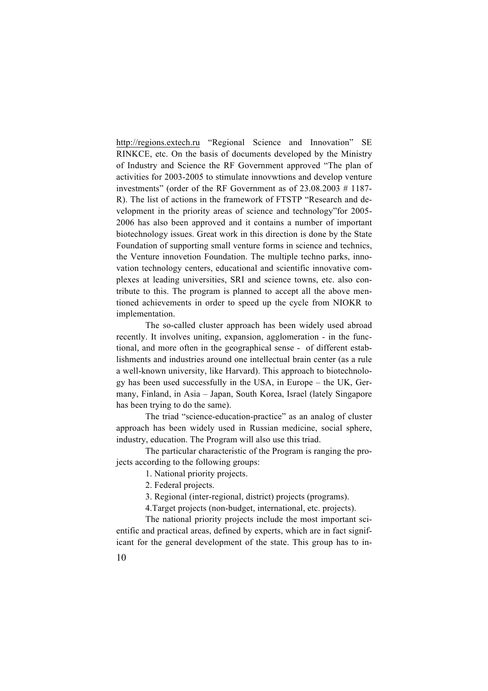http://regions.extech.ru "Regional Science and Innovation" SE RINKCE, etc. On the basis of documents developed by the Ministry of Industry and Science the RF Government approved "The plan of activities for 2003-2005 to stimulate innovwtions and develop venture investments" (order of the RF Government as of 23.08.2003 # 1187- R). The list of actions in the framework of FTSTP "Research and development in the priority areas of science and technology"for 2005- 2006 has also been approved and it contains a number of important biotechnology issues. Great work in this direction is done by the State Foundation of supporting small venture forms in science and technics, the Venture innovetion Foundation. The multiple techno parks, innovation technology centers, educational and scientific innovative complexes at leading universities, SRI and science towns, etc. also contribute to this. The program is planned to accept all the above mentioned achievements in order to speed up the cycle from NIOKR to implementation.

The so-called cluster approach has been widely used abroad recently. It involves uniting, expansion, agglomeration - in the functional, and more often in the geographical sense - of different establishments and industries around one intellectual brain center (as a rule a well-known university, like Harvard). This approach to biotechnology has been used successfully in the USA, in Europe – the UK, Germany, Finland, in Asia – Japan, South Korea, Israel (lately Singapore has been trying to do the same).

The triad "science-education-practice" as an analog of cluster approach has been widely used in Russian medicine, social sphere, industry, education. The Program will also use this triad.

The particular characteristic of the Program is ranging the projects according to the following groups:

1. National priority projects.

2. Federal projects.

3. Regional (inter-regional, district) projects (programs).

4.Target projects (non-budget, international, etc. projects).

The national priority projects include the most important scientific and practical areas, defined by experts, which are in fact significant for the general development of the state. This group has to in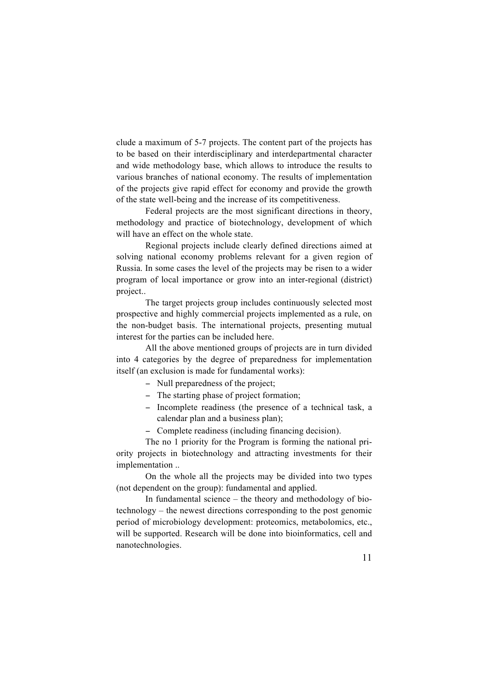clude a maximum of 5-7 projects. The content part of the projects has to be based on their interdisciplinary and interdepartmental character and wide methodology base, which allows to introduce the results to various branches of national economy. The results of implementation of the projects give rapid effect for economy and provide the growth of the state well-being and the increase of its competitiveness.

Federal projects are the most significant directions in theory, methodology and practice of biotechnology, development of which will have an effect on the whole state.

Regional projects include clearly defined directions aimed at solving national economy problems relevant for a given region of Russia. In some cases the level of the projects may be risen to a wider program of local importance or grow into an inter-regional (district) project..

The target projects group includes continuously selected most prospective and highly commercial projects implemented as a rule, on the non-budget basis. The international projects, presenting mutual interest for the parties can be included here.

All the above mentioned groups of projects are in turn divided into 4 categories by the degree of preparedness for implementation itself (an exclusion is made for fundamental works):

- − Null preparedness of the project;
- − The starting phase of project formation;
- − Incomplete readiness (the presence of a technical task, a calendar plan and a business plan);

− Complete readiness (including financing decision).

The no 1 priority for the Program is forming the national priority projects in biotechnology and attracting investments for their implementation ..

On the whole all the projects may be divided into two types (not dependent on the group): fundamental and applied.

In fundamental science – the theory and methodology of biotechnology – the newest directions corresponding to the post genomic period of microbiology development: proteomics, metabolomics, etc., will be supported. Research will be done into bioinformatics, cell and nanotechnologies.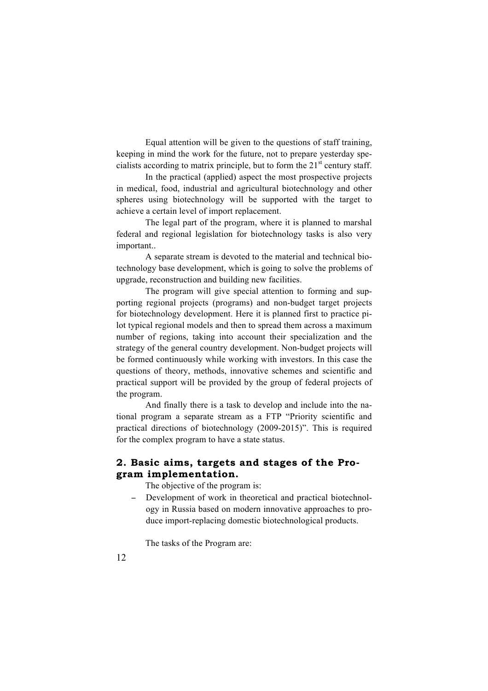Equal attention will be given to the questions of staff training, keeping in mind the work for the future, not to prepare yesterday specialists according to matrix principle, but to form the  $21<sup>st</sup>$  century staff.

In the practical (applied) aspect the most prospective projects in medical, food, industrial and agricultural biotechnology and other spheres using biotechnology will be supported with the target to achieve a certain level of import replacement.

The legal part of the program, where it is planned to marshal federal and regional legislation for biotechnology tasks is also very important..

A separate stream is devoted to the material and technical biotechnology base development, which is going to solve the problems of upgrade, reconstruction and building new facilities.

The program will give special attention to forming and supporting regional projects (programs) and non-budget target projects for biotechnology development. Here it is planned first to practice pilot typical regional models and then to spread them across a maximum number of regions, taking into account their specialization and the strategy of the general country development. Non-budget projects will be formed continuously while working with investors. In this case the questions of theory, methods, innovative schemes and scientific and practical support will be provided by the group of federal projects of the program.

And finally there is a task to develop and include into the national program a separate stream as a FTP "Priority scientific and practical directions of biotechnology (2009-2015)". This is required for the complex program to have a state status.

# **2. Basic aims, targets and stages of the Program implementation.**

The objective of the program is:

− Development of work in theoretical and practical biotechnology in Russia based on modern innovative approaches to produce import-replacing domestic biotechnological products.

The tasks of the Program are: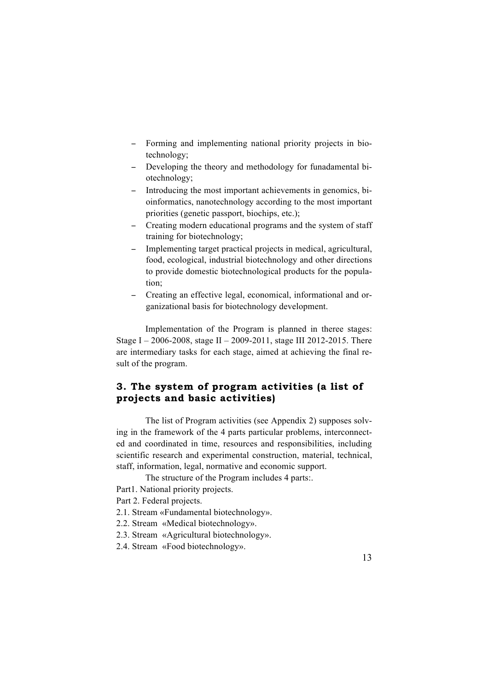- − Forming and implementing national priority projects in biotechnology;
- − Developing the theory and methodology for funadamental biotechnology;
- − Introducing the most important achievements in genomics, bioinformatics, nanotechnology according to the most important priorities (genetic passport, biochips, etc.);
- − Creating modern educational programs and the system of staff training for biotechnology;
- Implementing target practical projects in medical, agricultural, food, ecological, industrial biotechnology and other directions to provide domestic biotechnological products for the population;
- − Creating an effective legal, economical, informational and organizational basis for biotechnology development.

Implementation of the Program is planned in theree stages: Stage I – 2006-2008, stage II – 2009-2011, stage III 2012-2015. There are intermediary tasks for each stage, aimed at achieving the final result of the program.

# **3. The system of program activities (a list of projects and basic activities)**

The list of Program activities (see Appendix 2) supposes solving in the framework of the 4 parts particular problems, interconnected and coordinated in time, resources and responsibilities, including scientific research and experimental construction, material, technical, staff, information, legal, normative and economic support.

The structure of the Program includes 4 parts:.

Part1. National priority projects.

Part 2. Federal projects.

2.1. Stream «Fundamental biotechnology».

2.2. Stream «Меdical biotechnology».

2.3. Stream «Agricultural biotechnology».

2.4. Stream «Food biotechnology».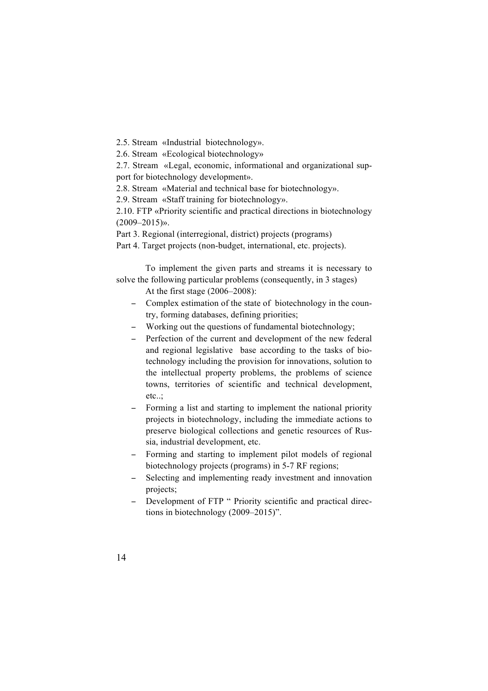2.5. Stream «Industrial biotechnology».

2.6. Stream «Ecological biotechnology»

2.7. Stream «Legal, economic, informational and organizational support for biotechnology development».

2.8. Stream «Material and technical base for biotechnology».

2.9. Stream «Staff training for biotechnology».

2.10. FTP «Priority scientific and practical directions in biotechnology  $(2009 - 2015)$ ».

Part 3. Regional (interregional, district) projects (programs)

Part 4. Target projects (non-budget, international, etc. projects).

To implement the given parts and streams it is necessary to solve the following particular problems (consequently, in 3 stages)

At the first stage (2006–2008):

- − Complex estimation of the state of biotechnology in the country, forming databases, defining priorities;
- − Working out the questions of fundamental biotechnology;
- − Perfection of the current and development of the new federal and regional legislative base according to the tasks of biotechnology including the provision for innovations, solution to the intellectual property problems, the problems of science towns, territories of scientific and technical development, etc..;
- − Forming a list and starting to implement the national priority projects in biotechnology, including the immediate actions to preserve biological collections and genetic resources of Russia, industrial development, etc.
- − Forming and starting to implement pilot models of regional biotechnology projects (programs) in 5-7 RF regions;
- − Selecting and implementing ready investment and innovation projects;
- − Development of FTP " Priority scientific and practical directions in biotechnology (2009–2015)".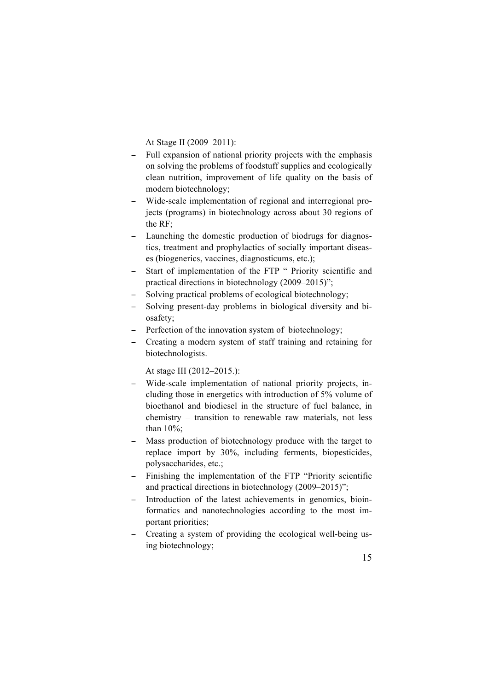At Stage II (2009–2011):

- − Full expansion of national priority projects with the emphasis on solving the problems of foodstuff supplies and ecologically clean nutrition, improvement of life quality on the basis of modern biotechnology;
- − Wide-scale implementation of regional and interregional projects (programs) in biotechnology across about 30 regions of the RF;
- − Launching the domestic production of biodrugs for diagnostics, treatment and prophylactics of socially important diseases (biogenerics, vaccines, diagnosticums, etc.);
- − Start of implementation of the FTP " Priority scientific and practical directions in biotechnology (2009–2015)";
- Solving practical problems of ecological biotechnology;
- − Solving present-day problems in biological diversity and biosafety;
- − Perfection of the innovation system of biotechnology;
- − Creating a modern system of staff training and retaining for biotechnologists.

At stage III (2012–2015.):

- − Wide-scale implementation of national priority projects, including those in energetics with introduction of 5% volume of bioethanol and biodiesel in the structure of fuel balance, in chemistry – transition to renewable raw materials, not less than 10%;
- Mass production of biotechnology produce with the target to replace import by 30%, including ferments, biopesticides, polysaccharides, etc.;
- − Finishing the implementation of the FTP "Priority scientific and practical directions in biotechnology (2009–2015)";
- − Introduction of the latest achievements in genomics, bioinformatics and nanotechnologies according to the most important priorities;
- − Creating a system of providing the ecological well-being using biotechnology;

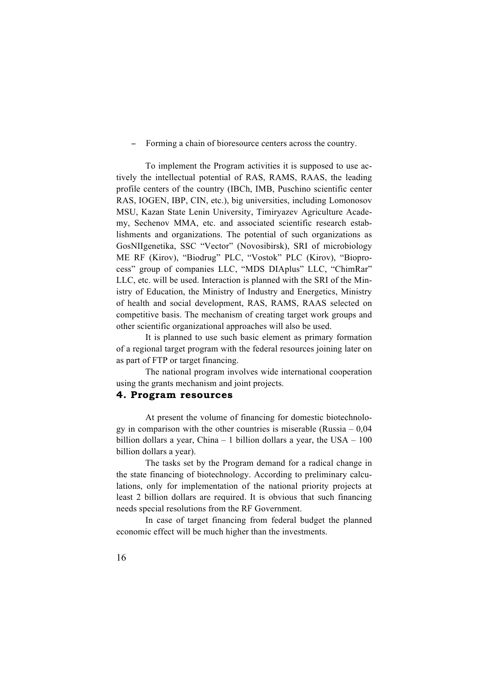− Forming a chain of bioresource centers across the country.

To implement the Program activities it is supposed to use actively the intellectual potential of RAS, RAMS, RAAS, the leading profile centers of the country (IBCh, IMB, Puschino scientific center RAS, IOGEN, IBP, CIN, etc.), big universities, including Lomonosov MSU, Kazan State Lenin University, Timiryazev Agriculture Academy, Sechenov MMA, etc. and associated scientific research establishments and organizations. The potential of such organizations as GosNIIgenetika, SSC "Vector" (Novosibirsk), SRI of microbiology ME RF (Kirov), "Biodrug" PLC, "Vostok" PLC (Kirov), "Bioprocess" group of companies LLC, "MDS DIAplus" LLC, "ChimRar" LLC, etc. will be used. Interaction is planned with the SRI of the Ministry of Education, the Ministry of Industry and Energetics, Ministry of health and social development, RAS, RAMS, RAAS selected on competitive basis. The mechanism of creating target work groups and other scientific organizational approaches will also be used.

It is planned to use such basic element as primary formation of a regional target program with the federal resources joining later on as part of FTP or target financing.

The national program involves wide international cooperation using the grants mechanism and joint projects.

### **4. Program resources**

At present the volume of financing for domestic biotechnology in comparison with the other countries is miserable (Russia  $-0.04$ ) billion dollars a year, China – 1 billion dollars a year, the USA – 100 billion dollars a year).

The tasks set by the Program demand for a radical change in the state financing of biotechnology. According to preliminary calculations, only for implementation of the national priority projects at least 2 billion dollars are required. It is obvious that such financing needs special resolutions from the RF Government.

In case of target financing from federal budget the planned economic effect will be much higher than the investments.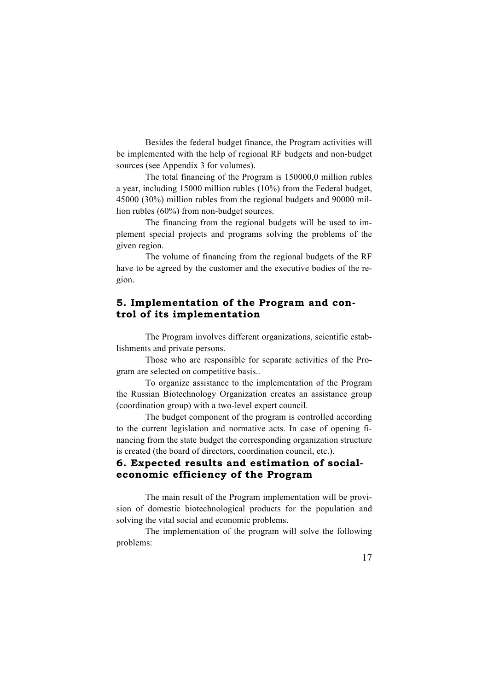Besides the federal budget finance, the Program activities will be implemented with the help of regional RF budgets and non-budget sources (see Appendix 3 for volumes).

The total financing of the Program is 150000,0 million rubles a year, including 15000 million rubles (10%) from the Federal budget, 45000 (30%) million rubles from the regional budgets and 90000 million rubles (60%) from non-budget sources.

The financing from the regional budgets will be used to implement special projects and programs solving the problems of the given region.

The volume of financing from the regional budgets of the RF have to be agreed by the customer and the executive bodies of the region.

### **5. Implementation of the Program and control of its implementation**

The Program involves different organizations, scientific establishments and private persons.

Those who are responsible for separate activities of the Program are selected on competitive basis..

To organize assistance to the implementation of the Program the Russian Biotechnology Organization creates an assistance group (coordination group) with a two-level expert council.

The budget component of the program is controlled according to the current legislation and normative acts. In case of opening financing from the state budget the corresponding organization structure is created (the board of directors, coordination council, etc.).

# **6. Expected results and estimation of socialeconomic efficiency of the Program**

The main result of the Program implementation will be provision of domestic biotechnological products for the population and solving the vital social and economic problems.

The implementation of the program will solve the following problems: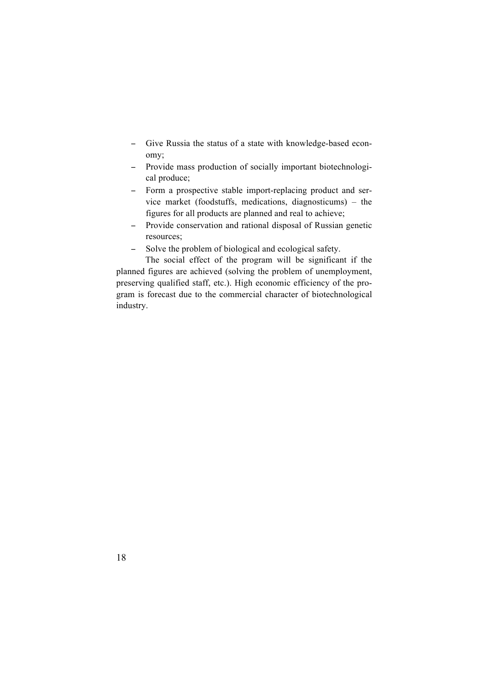- − Give Russia the status of a state with knowledge-based economy;
- − Provide mass production of socially important biotechnological produce;
- − Form a prospective stable import-replacing product and service market (foodstuffs, medications, diagnosticums) – the figures for all products are planned and real to achieve;
- − Provide conservation and rational disposal of Russian genetic resources;
- − Solve the problem of biological and ecological safety.

The social effect of the program will be significant if the planned figures are achieved (solving the problem of unemployment, preserving qualified staff, etc.). High economic efficiency of the program is forecast due to the commercial character of biotechnological industry.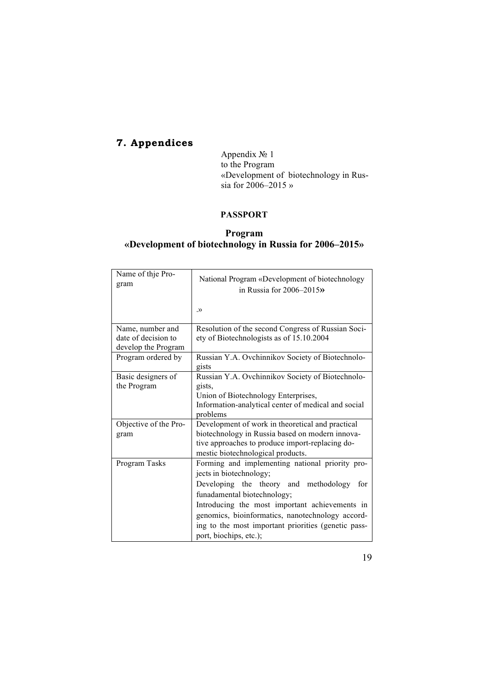# **7. Appendices**

Appendix № 1 to the Program «Development of biotechnology in Russia for  $2006 - 2015$  »

# **PASSPORT**

# **Program «Development of biotechnology in Russia for 2006–2015»**

| Name of thje Pro-<br>gram                  | National Program «Development of biotechnology<br>in Russia for $2006 - 2015$ » |
|--------------------------------------------|---------------------------------------------------------------------------------|
|                                            | $\rightarrow$                                                                   |
| Name, number and                           | Resolution of the second Congress of Russian Soci-                              |
| date of decision to<br>develop the Program | ety of Biotechnologists as of 15.10.2004                                        |
| Program ordered by                         | Russian Y.A. Ovchinnikov Society of Biotechnolo-<br>gists                       |
| Basic designers of                         | Russian Y.A. Ovchinnikov Society of Biotechnolo-                                |
| the Program                                | gists,                                                                          |
|                                            | Union of Biotechnology Enterprises,                                             |
|                                            | Information-analytical center of medical and social<br>problems                 |
| Objective of the Pro-                      | Development of work in theoretical and practical                                |
| gram                                       | biotechnology in Russia based on modern innova-                                 |
|                                            | tive approaches to produce import-replacing do-                                 |
|                                            | mestic biotechnological products.                                               |
| Program Tasks                              | Forming and implementing national priority pro-                                 |
|                                            | jects in biotechnology;                                                         |
|                                            | Developing the theory and methodology<br>for                                    |
|                                            | funadamental biotechnology;                                                     |
|                                            | Introducing the most important achievements in                                  |
|                                            | genomics, bioinformatics, nanotechnology accord-                                |
|                                            | ing to the most important priorities (genetic pass-<br>port, biochips, etc.);   |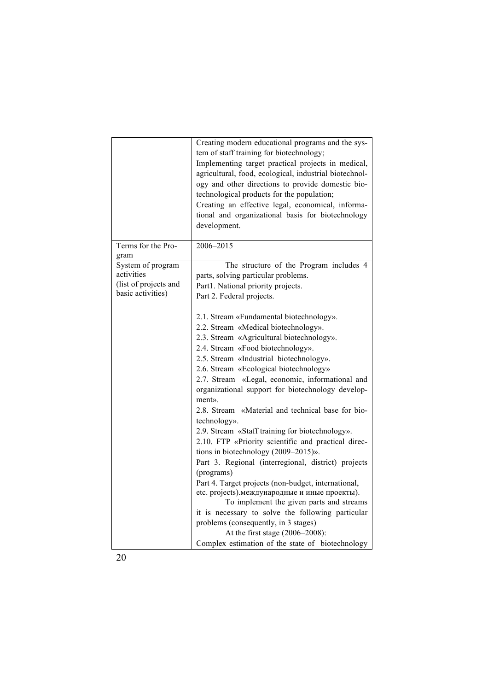|                                                                               | Creating modern educational programs and the sys-<br>tem of staff training for biotechnology;<br>Implementing target practical projects in medical,<br>agricultural, food, ecological, industrial biotechnol-<br>ogy and other directions to provide domestic bio-<br>technological products for the population;<br>Creating an effective legal, economical, informa-<br>tional and organizational basis for biotechnology<br>development.                                                                                                                                                                                                                                                                                                                                                                                                                                                                                                                                                                                                                                                                      |
|-------------------------------------------------------------------------------|-----------------------------------------------------------------------------------------------------------------------------------------------------------------------------------------------------------------------------------------------------------------------------------------------------------------------------------------------------------------------------------------------------------------------------------------------------------------------------------------------------------------------------------------------------------------------------------------------------------------------------------------------------------------------------------------------------------------------------------------------------------------------------------------------------------------------------------------------------------------------------------------------------------------------------------------------------------------------------------------------------------------------------------------------------------------------------------------------------------------|
| Terms for the Pro-<br>gram                                                    | 2006-2015                                                                                                                                                                                                                                                                                                                                                                                                                                                                                                                                                                                                                                                                                                                                                                                                                                                                                                                                                                                                                                                                                                       |
| System of program<br>activities<br>(list of projects and<br>basic activities) | The structure of the Program includes 4<br>parts, solving particular problems.<br>Part1. National priority projects.<br>Part 2. Federal projects.<br>2.1. Stream «Fundamental biotechnology».<br>2.2. Stream «Medical biotechnology».<br>2.3. Stream «Agricultural biotechnology».<br>2.4. Stream «Food biotechnology».<br>2.5. Stream «Industrial biotechnology».<br>2.6. Stream «Ecological biotechnology»<br>2.7. Stream «Legal, economic, informational and<br>organizational support for biotechnology develop-<br>ment».<br>2.8. Stream «Material and technical base for bio-<br>technology».<br>2.9. Stream «Staff training for biotechnology».<br>2.10. FTP «Priority scientific and practical direc-<br>tions in biotechnology (2009-2015)».<br>Part 3. Regional (interregional, district) projects<br>(programs)<br>Part 4. Target projects (non-budget, international,<br>etc. projects). международные и иные проекты).<br>To implement the given parts and streams<br>it is necessary to solve the following particular<br>problems (consequently, in 3 stages)<br>At the first stage (2006-2008): |
|                                                                               | Complex estimation of the state of biotechnology                                                                                                                                                                                                                                                                                                                                                                                                                                                                                                                                                                                                                                                                                                                                                                                                                                                                                                                                                                                                                                                                |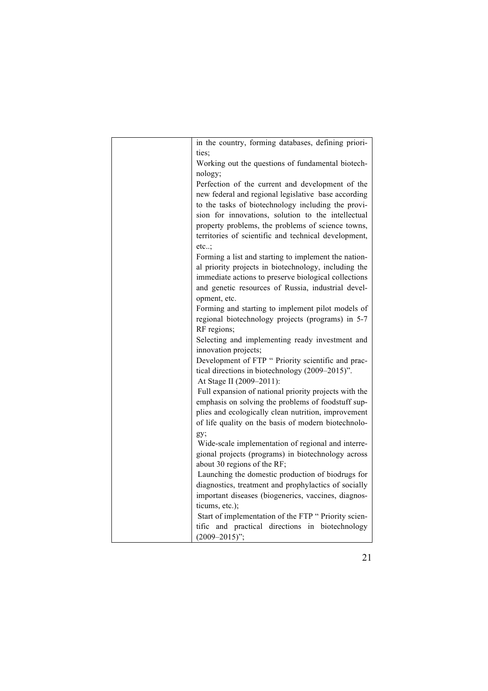| in the country, forming databases, defining priori-                   |
|-----------------------------------------------------------------------|
| ties;                                                                 |
| Working out the questions of fundamental biotech-                     |
| nology;                                                               |
| Perfection of the current and development of the                      |
| new federal and regional legislative base according                   |
| to the tasks of biotechnology including the provi-                    |
| sion for innovations, solution to the intellectual                    |
| property problems, the problems of science towns,                     |
| territories of scientific and technical development,                  |
| $etc.$ .                                                              |
| Forming a list and starting to implement the nation-                  |
| al priority projects in biotechnology, including the                  |
| immediate actions to preserve biological collections                  |
| and genetic resources of Russia, industrial devel-                    |
| opment, etc.                                                          |
| Forming and starting to implement pilot models of                     |
| regional biotechnology projects (programs) in 5-7                     |
| RF regions;                                                           |
| Selecting and implementing ready investment and                       |
| innovation projects;                                                  |
| Development of FTP " Priority scientific and prac-                    |
| tical directions in biotechnology (2009-2015)".                       |
| At Stage II (2009–2011):                                              |
| Full expansion of national priority projects with the                 |
| emphasis on solving the problems of foodstuff sup-                    |
| plies and ecologically clean nutrition, improvement                   |
| of life quality on the basis of modern biotechnolo-                   |
| gy;                                                                   |
| Wide-scale implementation of regional and interre-                    |
| gional projects (programs) in biotechnology across                    |
| about 30 regions of the RF;                                           |
| Launching the domestic production of biodrugs for                     |
| diagnostics, treatment and prophylactics of socially                  |
| important diseases (biogenerics, vaccines, diagnos-                   |
| ticums, etc.);                                                        |
| Start of implementation of the FTP " Priority scien-                  |
| tific and practical directions in biotechnology<br>$(2009 - 2015)$ "; |
|                                                                       |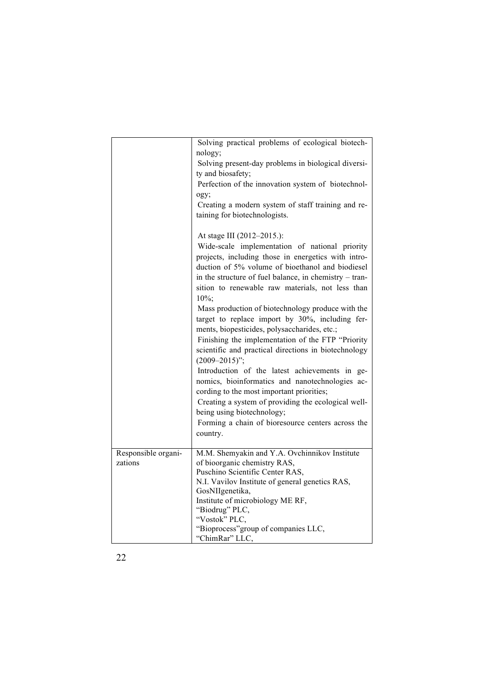|                                | Solving practical problems of ecological biotech-                                                                                                                                                                                                                                                                                                                                                                                                                                                                                                                                               |
|--------------------------------|-------------------------------------------------------------------------------------------------------------------------------------------------------------------------------------------------------------------------------------------------------------------------------------------------------------------------------------------------------------------------------------------------------------------------------------------------------------------------------------------------------------------------------------------------------------------------------------------------|
|                                | nology;<br>Solving present-day problems in biological diversi-                                                                                                                                                                                                                                                                                                                                                                                                                                                                                                                                  |
|                                | ty and biosafety;                                                                                                                                                                                                                                                                                                                                                                                                                                                                                                                                                                               |
|                                | Perfection of the innovation system of biotechnol-                                                                                                                                                                                                                                                                                                                                                                                                                                                                                                                                              |
|                                | ogy;                                                                                                                                                                                                                                                                                                                                                                                                                                                                                                                                                                                            |
|                                | Creating a modern system of staff training and re-<br>taining for biotechnologists.                                                                                                                                                                                                                                                                                                                                                                                                                                                                                                             |
|                                | At stage III (2012-2015.):                                                                                                                                                                                                                                                                                                                                                                                                                                                                                                                                                                      |
|                                | Wide-scale implementation of national priority<br>projects, including those in energetics with intro-<br>duction of 5% volume of bioethanol and biodiesel<br>in the structure of fuel balance, in chemistry – tran-<br>sition to renewable raw materials, not less than                                                                                                                                                                                                                                                                                                                         |
|                                | $10\%;$                                                                                                                                                                                                                                                                                                                                                                                                                                                                                                                                                                                         |
|                                | Mass production of biotechnology produce with the<br>target to replace import by 30%, including fer-<br>ments, biopesticides, polysaccharides, etc.;<br>Finishing the implementation of the FTP "Priority<br>scientific and practical directions in biotechnology<br>$(2009 - 2015)$ ";<br>Introduction of the latest achievements in ge-<br>nomics, bioinformatics and nanotechnologies ac-<br>cording to the most important priorities;<br>Creating a system of providing the ecological well-<br>being using biotechnology;<br>Forming a chain of bioresource centers across the<br>country. |
|                                |                                                                                                                                                                                                                                                                                                                                                                                                                                                                                                                                                                                                 |
| Responsible organi-<br>zations | M.M. Shemyakin and Y.A. Ovchinnikov Institute<br>of bioorganic chemistry RAS,<br>Puschino Scientific Center RAS,                                                                                                                                                                                                                                                                                                                                                                                                                                                                                |
|                                | N.I. Vavilov Institute of general genetics RAS,                                                                                                                                                                                                                                                                                                                                                                                                                                                                                                                                                 |
|                                | GosNIIgenetika,                                                                                                                                                                                                                                                                                                                                                                                                                                                                                                                                                                                 |
|                                | Institute of microbiology ME RF,                                                                                                                                                                                                                                                                                                                                                                                                                                                                                                                                                                |
|                                | "Biodrug" PLC,                                                                                                                                                                                                                                                                                                                                                                                                                                                                                                                                                                                  |
|                                | "Vostok" PLC,                                                                                                                                                                                                                                                                                                                                                                                                                                                                                                                                                                                   |
|                                | "Bioprocess" group of companies LLC,<br>"ChimRar" LLC,                                                                                                                                                                                                                                                                                                                                                                                                                                                                                                                                          |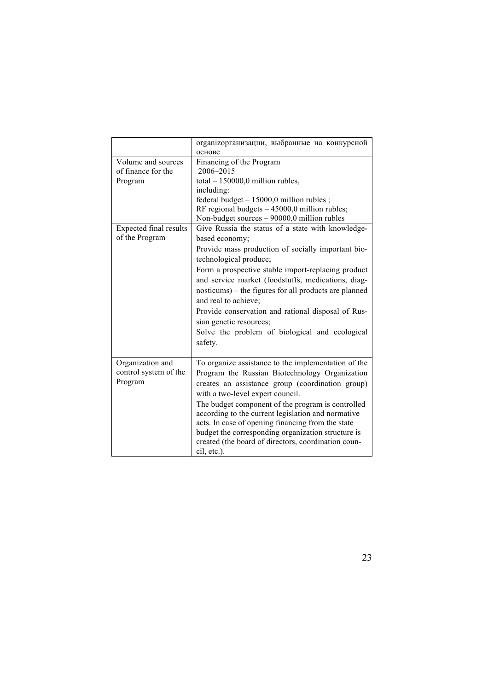|                        | organizopганизации, выбранные на конкурсной           |
|------------------------|-------------------------------------------------------|
|                        | основе                                                |
| Volume and sources     | Financing of the Program                              |
| of finance for the     | 2006-2015                                             |
| Program                | total $-150000,0$ million rubles,                     |
|                        | including:                                            |
|                        | federal budget $-15000,0$ million rubles;             |
|                        | RF regional budgets $-45000,0$ million rubles;        |
|                        | Non-budget sources - 90000,0 million rubles           |
| Expected final results | Give Russia the status of a state with knowledge-     |
| of the Program         | based economy;                                        |
|                        | Provide mass production of socially important bio-    |
|                        | technological produce;                                |
|                        | Form a prospective stable import-replacing product    |
|                        | and service market (foodstuffs, medications, diag-    |
|                        | nosticums) – the figures for all products are planned |
|                        | and real to achieve;                                  |
|                        | Provide conservation and rational disposal of Rus-    |
|                        | sian genetic resources;                               |
|                        | Solve the problem of biological and ecological        |
|                        | safety.                                               |
|                        |                                                       |
| Organization and       | To organize assistance to the implementation of the   |
| control system of the  | Program the Russian Biotechnology Organization        |
| Program                | creates an assistance group (coordination group)      |
|                        |                                                       |
|                        | with a two-level expert council.                      |
|                        | The budget component of the program is controlled     |
|                        | according to the current legislation and normative    |
|                        | acts. In case of opening financing from the state     |
|                        | budget the corresponding organization structure is    |
|                        | created (the board of directors, coordination coun-   |
|                        | cil, etc.).                                           |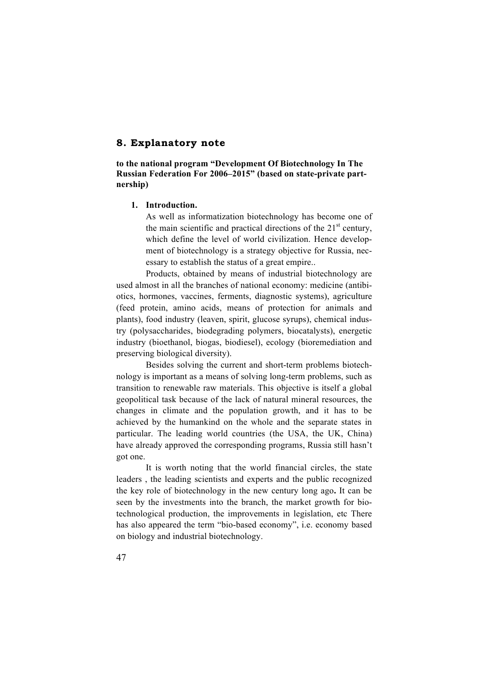## **8. Explanatory note**

**to the national program "Development Of Biotechnology In The Russian Federation For 2006–2015" (based on state-private partnership)**

### **1. Introduction.**

As well as informatization biotechnology has become one of the main scientific and practical directions of the  $21<sup>st</sup>$  century, which define the level of world civilization. Hence development of biotechnology is a strategy objective for Russia, necessary to establish the status of a great empire..

Products, obtained by means of industrial biotechnology are used almost in all the branches of national economy: medicine (antibiotics, hormones, vaccines, ferments, diagnostic systems), agriculture (feed protein, amino acids, means of protection for animals and plants), food industry (leaven, spirit, glucose syrups), chemical industry (polysaccharides, biodegrading polymers, biocatalysts), energetic industry (bioethanol, biogas, biodiesel), ecology (bioremediation and preserving biological diversity).

Besides solving the current and short-term problems biotechnology is important as a means of solving long-term problems, such as transition to renewable raw materials. This objective is itself a global geopolitical task because of the lack of natural mineral resources, the changes in climate and the population growth, and it has to be achieved by the humankind on the whole and the separate states in particular. The leading world countries (the USA, the UK, China) have already approved the corresponding programs, Russia still hasn't got one.

It is worth noting that the world financial circles, the state leaders , the leading scientists and experts and the public recognized the key role of biotechnology in the new century long ago**.** It can be seen by the investments into the branch, the market growth for biotechnological production, the improvements in legislation, etc There has also appeared the term "bio-based economy", i.e. economy based on biology and industrial biotechnology.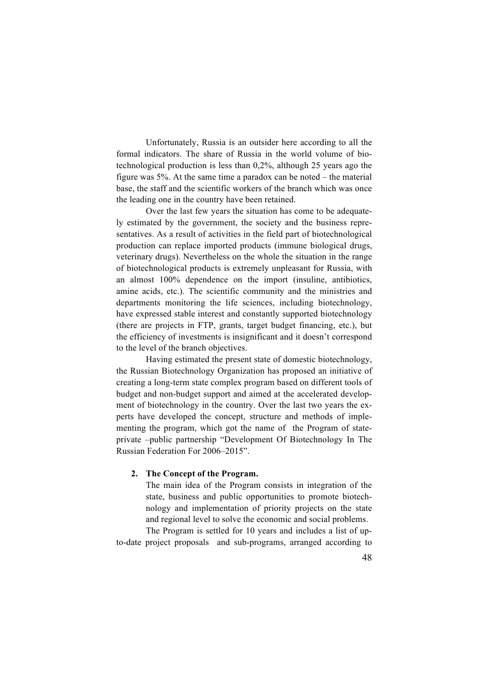Unfortunately, Russia is an outsider here according to all the formal indicators. The share of Russia in the world volume of biotechnological production is less than 0,2%, although 25 years ago the figure was 5%. At the same time a paradox can be noted – the material base, the staff and the scientific workers of the branch which was once the leading one in the country have been retained.

Over the last few years the situation has come to be adequately estimated by the government, the society and the business representatives. As a result of activities in the field part of biotechnological production can replace imported products (immune biological drugs, veterinary drugs). Nevertheless on the whole the situation in the range of biotechnological products is extremely unpleasant for Russia, with an almost 100% dependence on the import (insuline, antibiotics, amine acids, etc.). The scientific community and the ministries and departments monitoring the life sciences, including biotechnology, have expressed stable interest and constantly supported biotechnology (there are projects in FTP, grants, target budget financing, etc.), but the efficiency of investments is insignificant and it doesn't correspond to the level of the branch objectives.

Having estimated the present state of domestic biotechnology, the Russian Biotechnology Organization has proposed an initiative of creating a long-term state complex program based on different tools of budget and non-budget support and aimed at the accelerated development of biotechnology in the country. Over the last two years the experts have developed the concept, structure and methods of implementing the program, which got the name of the Program of stateprivate –public partnership "Development Of Biotechnology In The Russian Federation For 2006–2015".

### **2. The Concept of the Program.**

The main idea of the Program consists in integration of the state, business and public opportunities to promote biotechnology and implementation of priority projects on the state and regional level to solve the economic and social problems. The Program is settled for 10 years and includes a list of up-

to-date project proposals and sub-programs, arranged according to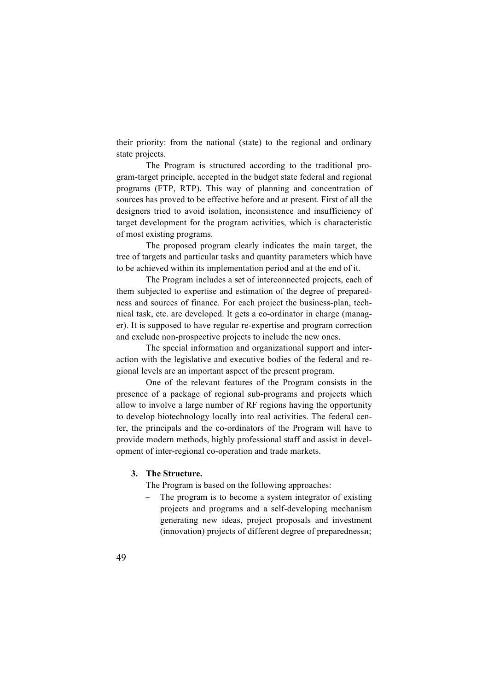their priority: from the national (state) to the regional and ordinary state projects.

The Program is structured according to the traditional program-target principle, accepted in the budget state federal and regional programs (FTP, RTP). This way of planning and concentration of sources has proved to be effective before and at present. First of all the designers tried to avoid isolation, inconsistence and insufficiency of target development for the program activities, which is characteristic of most existing programs.

The proposed program clearly indicates the main target, the tree of targets and particular tasks and quantity parameters which have to be achieved within its implementation period and at the end of it.

The Program includes a set of interconnected projects, each of them subjected to expertise and estimation of the degree of preparedness and sources of finance. For each project the business-plan, technical task, etc. are developed. It gets a co-ordinator in charge (manager). It is supposed to have regular re-expertise and program correction and exclude non-prospective projects to include the new ones.

The special information and organizational support and interaction with the legislative and executive bodies of the federal and regional levels are an important aspect of the present program.

One of the relevant features of the Program consists in the presence of a package of regional sub-programs and projects which allow to involve a large number of RF regions having the opportunity to develop biotechnology locally into real activities. The federal center, the principals and the co-ordinators of the Program will have to provide modern methods, highly professional staff and assist in development of inter-regional co-operation and trade markets.

### **3. The Structure.**

The Program is based on the following approaches:

The program is to become a system integrator of existing projects and programs and a self-developing mechanism generating new ideas, project proposals and investment (innovation) projects of different degree of preparednessи;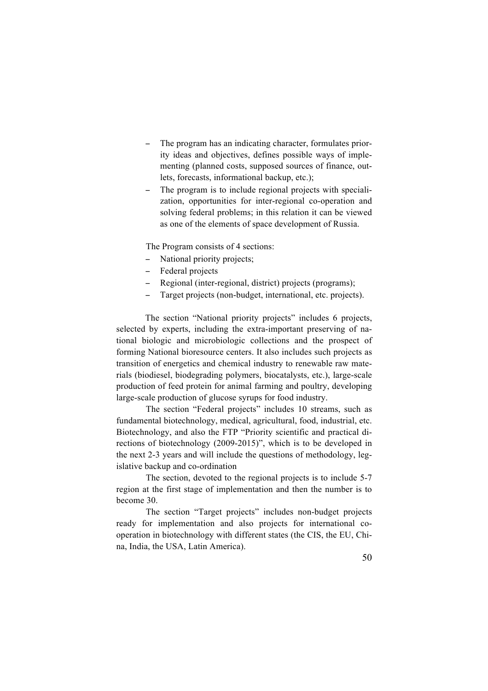- The program has an indicating character, formulates priority ideas and objectives, defines possible ways of implementing (planned costs, supposed sources of finance, outlets, forecasts, informational backup, etc.);
- The program is to include regional projects with specialization, opportunities for inter-regional co-operation and solving federal problems; in this relation it can be viewed as one of the elements of space development of Russia.

The Program consists of 4 sections:

- National priority projects;
- − Federal projects
- Regional (inter-regional, district) projects (programs);
- Target projects (non-budget, international, etc. projects).

The section "National priority projects" includes 6 projects, selected by experts, including the extra-important preserving of national biologic and microbiologic collections and the prospect of forming National bioresource centers. It also includes such projects as transition of energetics and chemical industry to renewable raw materials (biodiesel, biodegrading polymers, biocatalysts, etc.), large-scale production of feed protein for animal farming and poultry, developing large-scale production of glucose syrups for food industry.

The section "Federal projects" includes 10 streams, such as fundamental biotechnology, medical, agricultural, food, industrial, etc. Biotechnology, and also the FTP "Priority scientific and practical directions of biotechnology (2009-2015)", which is to be developed in the next 2-3 years and will include the questions of methodology, legislative backup and co-ordination

The section, devoted to the regional projects is to include 5-7 region at the first stage of implementation and then the number is to become 30.

The section "Target projects" includes non-budget projects ready for implementation and also projects for international cooperation in biotechnology with different states (the CIS, the EU, China, India, the USA, Latin America).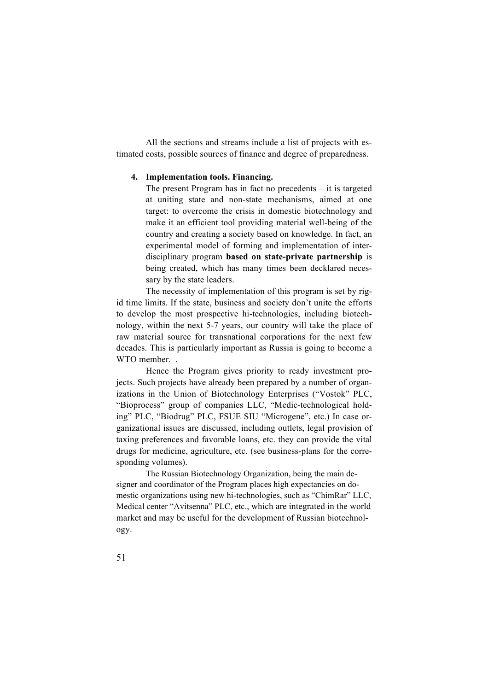All the sections and streams include a list of projects with estimated costs, possible sources of finance and degree of preparedness.

### **4. Implementation tools. Financing.**

The present Program has in fact no precedents – it is targeted at uniting state and non-state mechanisms, aimed at one target: to overcome the crisis in domestic biotechnology and make it an efficient tool providing material well-being of the country and creating a society based on knowledge. In fact, an experimental model of forming and implementation of interdisciplinary program **based on state-private partnership** is being created, which has many times been decklared necessary by the state leaders.

The necessity of implementation of this program is set by rigid time limits. If the state, business and society don't unite the efforts to develop the most prospective hi-technologies, including biotechnology, within the next 5-7 years, our country will take the place of raw material source for transnational corporations for the next few decades. This is particularly important as Russia is going to become a WTO member.

Hence the Program gives priority to ready investment projects. Such projects have already been prepared by a number of organizations in the Union of Biotechnology Enterprises ("Vostok" PLC, "Bioprocess" group of companies LLC, "Medic-technological holding" PLC, "Biodrug" PLC, FSUE SIU "Microgene", etc.) In case organizational issues are discussed, including outlets, legal provision of taxing preferences and favorable loans, etc. they can provide the vital drugs for medicine, agriculture, etc. (see business-plans for the corresponding volumes).

The Russian Biotechnology Organization, being the main designer and coordinator of the Program places high expectancies on domestic organizations using new hi-technologies, such as "ChimRar" LLC, Medical center "Avitsenna" PLC, etc., which are integrated in the world market and may be useful for the development of Russian biotechnology.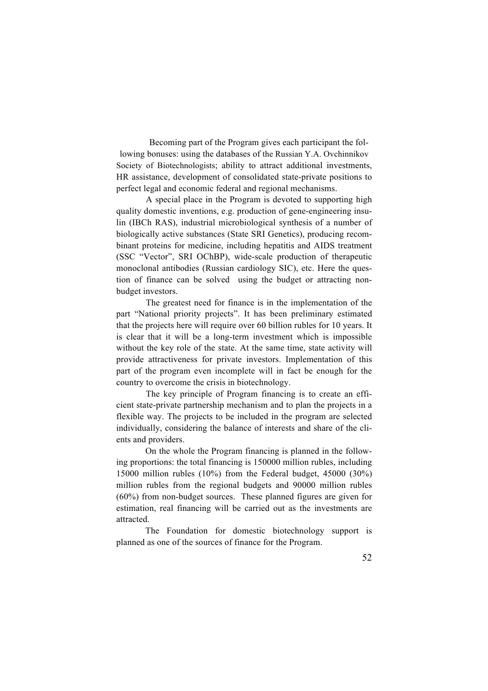Becoming part of the Program gives each participant the following bonuses: using the databases of the Russian Y.A. Ovchinnikov Society of Biotechnologists; ability to attract additional investments, HR assistance, development of consolidated state-private positions to perfect legal and economic federal and regional mechanisms.

A special place in the Program is devoted to supporting high quality domestic inventions, e.g. production of gene-engineering insulin (IBCh RAS), industrial microbiological synthesis of a number of biologically active substances (State SRI Genetics), producing recombinant proteins for medicine, including hepatitis and AIDS treatment (SSC "Vector", SRI OChBP), wide-scale production of therapeutic monoclonal antibodies (Russian cardiology SIC), etc. Here the question of finance can be solved using the budget or attracting nonbudget investors.

The greatest need for finance is in the implementation of the part "National priority projects". It has been preliminary estimated that the projects here will require over 60 billion rubles for 10 years. It is clear that it will be a long-term investment which is impossible without the key role of the state. At the same time, state activity will provide attractiveness for private investors. Implementation of this part of the program even incomplete will in fact be enough for the country to overcome the crisis in biotechnology.

The key principle of Program financing is to create an efficient state-private partnership mechanism and to plan the projects in a flexible way. The projects to be included in the program are selected individually, considering the balance of interests and share of the clients and providers.

On the whole the Program financing is planned in the following proportions: the total financing is 150000 million rubles, including 15000 million rubles (10%) from the Federal budget, 45000 (30%) million rubles from the regional budgets and 90000 million rubles (60%) from non-budget sources. These planned figures are given for estimation, real financing will be carried out as the investments are attracted.

The Foundation for domestic biotechnology support is planned as one of the sources of finance for the Program.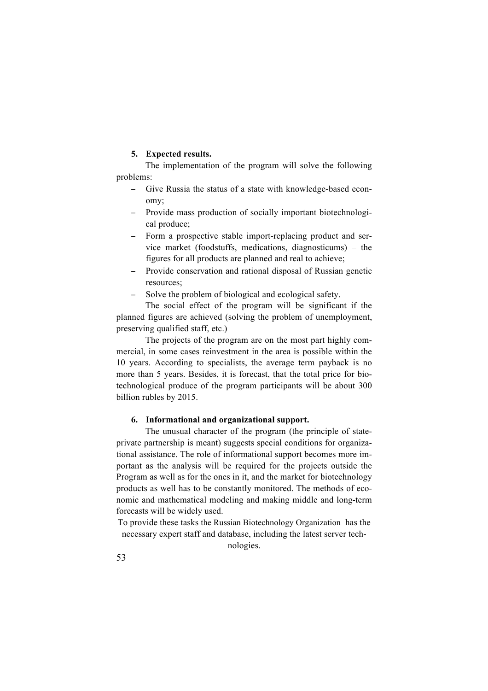### **5. Expected results.**

The implementation of the program will solve the following problems:

- − Give Russia the status of a state with knowledge-based economy;
- − Provide mass production of socially important biotechnological produce;
- − Form a prospective stable import-replacing product and service market (foodstuffs, medications, diagnosticums) – the figures for all products are planned and real to achieve;
- − Provide conservation and rational disposal of Russian genetic resources;
- Solve the problem of biological and ecological safety.

The social effect of the program will be significant if the planned figures are achieved (solving the problem of unemployment, preserving qualified staff, etc.)

The projects of the program are on the most part highly commercial, in some cases reinvestment in the area is possible within the 10 years. According to specialists, the average term payback is no more than 5 years. Besides, it is forecast, that the total price for biotechnological produce of the program participants will be about 300 billion rubles by 2015.

#### **6. Informational and organizational support.**

The unusual character of the program (the principle of stateprivate partnership is meant) suggests special conditions for organizational assistance. The role of informational support becomes more important as the analysis will be required for the projects outside the Program as well as for the ones in it, and the market for biotechnology products as well has to be constantly monitored. The methods of economic and mathematical modeling and making middle and long-term forecasts will be widely used.

To provide these tasks the Russian Biotechnology Organization has the necessary expert staff and database, including the latest server tech-

nologies.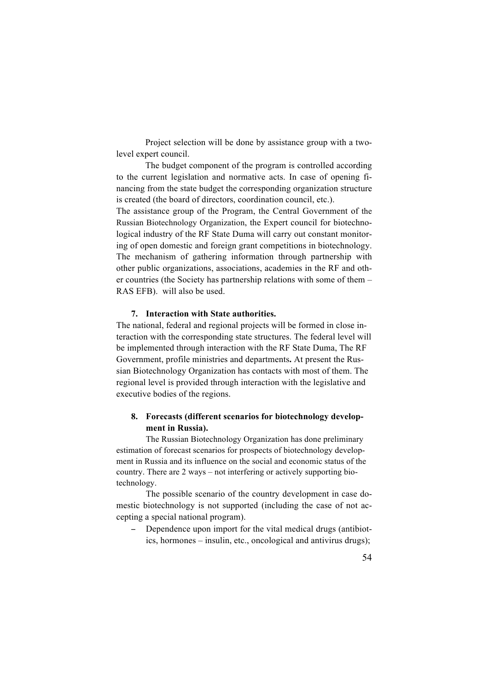Project selection will be done by assistance group with a twolevel expert council.

The budget component of the program is controlled according to the current legislation and normative acts. In case of opening financing from the state budget the corresponding organization structure is created (the board of directors, coordination council, etc.).

The assistance group of the Program, the Central Government of the Russian Biotechnology Organization, the Expert council for biotechnological industry of the RF State Duma will carry out constant monitoring of open domestic and foreign grant competitions in biotechnology. The mechanism of gathering information through partnership with other public organizations, associations, academies in the RF and other countries (the Society has partnership relations with some of them – RAS EFB). will also be used.

### **7. Interaction with State authorities.**

The national, federal and regional projects will be formed in close interaction with the corresponding state structures. The federal level will be implemented through interaction with the RF State Duma, The RF Government, profile ministries and departments**.** At present the Russian Biotechnology Organization has contacts with most of them. The regional level is provided through interaction with the legislative and executive bodies of the regions.

### **8. Forecasts (different scenarios for biotechnology development in Russia).**

The Russian Biotechnology Organization has done preliminary estimation of forecast scenarios for prospects of biotechnology development in Russia and its influence on the social and economic status of the country. There are 2 ways – not interfering or actively supporting biotechnology.

The possible scenario of the country development in case domestic biotechnology is not supported (including the case of not accepting a special national program).

Dependence upon import for the vital medical drugs (antibiotics, hormones – insulin, etc., oncological and antivirus drugs);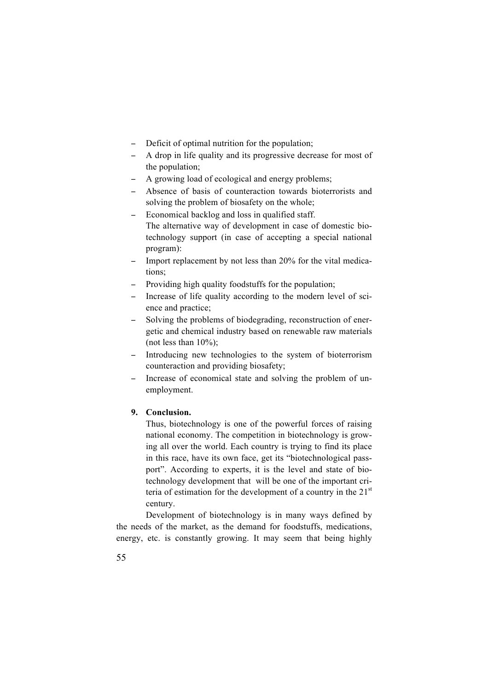- − Deficit of optimal nutrition for the population;
- − A drop in life quality and its progressive decrease for most of the population;
- − A growing load of ecological and energy problems;
- − Absence of basis of counteraction towards bioterrorists and solving the problem of biosafety on the whole;
- − Economical backlog and loss in qualified staff. The alternative way of development in case of domestic biotechnology support (in case of accepting a special national program):
- − Import replacement by not less than 20% for the vital medications;
- − Providing high quality foodstuffs for the population;
- − Increase of life quality according to the modern level of science and practice;
- − Solving the problems of biodegrading, reconstruction of energetic and chemical industry based on renewable raw materials (not less than  $10\%$ );
- − Introducing new technologies to the system of bioterrorism counteraction and providing biosafety;
- − Increase of economical state and solving the problem of unemployment.

## **9. Conclusion.**

Thus, biotechnology is one of the powerful forces of raising national economy. The competition in biotechnology is growing all over the world. Each country is trying to find its place in this race, have its own face, get its "biotechnological passport". According to experts, it is the level and state of biotechnology development that will be one of the important criteria of estimation for the development of a country in the  $21<sup>st</sup>$ century.

Development of biotechnology is in many ways defined by the needs of the market, as the demand for foodstuffs, medications, energy, etc. is constantly growing. It may seem that being highly